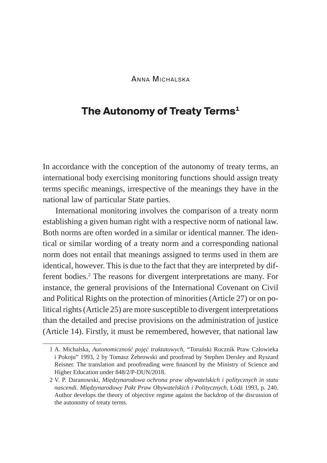Anna Michalska

## **The Autonomy of Treaty Terms<sup>1</sup>**

In accordance with the conception of the autonomy of treaty terms, an international body exercising monitoring functions should assign treaty terms specific meanings, irrespective of the meanings they have in the national law of particular State parties.

International monitoring involves the comparison of a treaty norm establishing a given human right with a respective norm of national law. Both norms are often worded in a similar or identical manner. The identical or similar wording of a treaty norm and a corresponding national norm does not entail that meanings assigned to terms used in them are identical, however. This is due to the fact that they are interpreted by different bodies.<sup>2</sup> The reasons for divergent interpretations are many. For instance, the general provisions of the International Covenant on Civil and Political Rights on the protection of minorities (Article 27) or on political rights (Article 25) are more susceptible to divergent interpretations than the detailed and precise provisions on the administration of justice (Article 14). Firstly, it must be remembered, however, that national law

<sup>1</sup> A. Michalska, *Autonomiczność pojęć traktatowych*, "Toruński Rocznik Praw Człowieka i Pokoju" 1993, 2 by Tomasz Żebrowski and proofread by Stephen Dersley and Ryszard Reisner. The translation and proofreading were financed by the Ministry of Science and Higher Education under 848/2/P-DUN/2018.

<sup>2</sup> V. P. Daranowski, *Międzynarodowa ochrona praw obywatelskich i politycznych in statu nascendi. Międzynarodowy Pakt Praw Obywatelskich i Politycznych*, Łódź 1993, p. 240. Author develops the theory of objective regime against the backdrop of the discussion of the autonomy of treaty terms.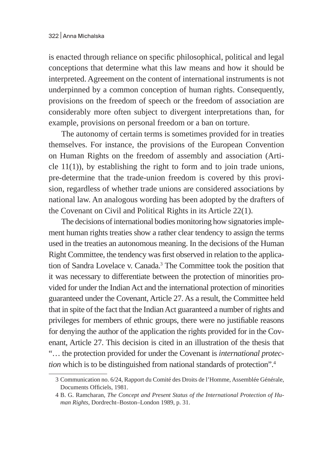is enacted through reliance on specific philosophical, political and legal conceptions that determine what this law means and how it should be interpreted. Agreement on the content of international instruments is not underpinned by a common conception of human rights. Consequently, provisions on the freedom of speech or the freedom of association are considerably more often subject to divergent interpretations than, for example, provisions on personal freedom or a ban on torture.

The autonomy of certain terms is sometimes provided for in treaties themselves. For instance, the provisions of the European Convention on Human Rights on the freedom of assembly and association (Article 11(1)), by establishing the right to form and to join trade unions, pre-determine that the trade-union freedom is covered by this provision, regardless of whether trade unions are considered associations by national law. An analogous wording has been adopted by the drafters of the Covenant on Civil and Political Rights in its Article 22(1).

The decisions of international bodies monitoring how signatories implement human rights treaties show a rather clear tendency to assign the terms used in the treaties an autonomous meaning. In the decisions of the Human Right Committee, the tendency was first observed in relation to the application of Sandra Lovelace v. Canada.<sup>3</sup> The Committee took the position that it was necessary to differentiate between the protection of minorities provided for under the Indian Act and the international protection of minorities guaranteed under the Covenant, Article 27. As a result, the Committee held that in spite of the fact that the Indian Act guaranteed a number of rights and privileges for members of ethnic groups, there were no justifiable reasons for denying the author of the application the rights provided for in the Covenant, Article 27. This decision is cited in an illustration of the thesis that "… the protection provided for under the Covenant is *international protection* which is to be distinguished from national standards of protection".<sup>4</sup>

<sup>3</sup> Communication no. 6/24, Rapport du Comité des Droits de l'Homme, Assemblée Générale, Documents Officiels, 1981.

<sup>4</sup> B. G. Ramcharan, *The Concept and Present Status of the International Protection of Human Rights,* Dordrecht–Boston–London 1989, p. 31.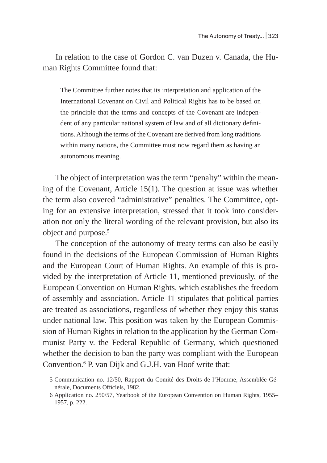In relation to the case of Gordon C. van Duzen v. Canada, the Human Rights Committee found that:

The Committee further notes that its interpretation and application of the International Covenant on Civil and Political Rights has to be based on the principle that the terms and concepts of the Covenant are independent of any particular national system of law and of all dictionary definitions. Although the terms of the Covenant are derived from long traditions within many nations, the Committee must now regard them as having an autonomous meaning.

The object of interpretation was the term "penalty" within the meaning of the Covenant, Article 15(1). The question at issue was whether the term also covered "administrative" penalties. The Committee, opting for an extensive interpretation, stressed that it took into consideration not only the literal wording of the relevant provision, but also its object and purpose.<sup>5</sup>

The conception of the autonomy of treaty terms can also be easily found in the decisions of the European Commission of Human Rights and the European Court of Human Rights. An example of this is provided by the interpretation of Article 11, mentioned previously, of the European Convention on Human Rights, which establishes the freedom of assembly and association. Article 11 stipulates that political parties are treated as associations, regardless of whether they enjoy this status under national law. This position was taken by the European Commission of Human Rights in relation to the application by the German Communist Party v. the Federal Republic of Germany, which questioned whether the decision to ban the party was compliant with the European Convention.<sup>6</sup> P. van Dijk and G.J.H. van Hoof write that:

<sup>5</sup> Communication no. 12/50, Rapport du Comité des Droits de l'Homme, Assemblée Générale, Documents Officiels, 1982.

<sup>6</sup> Application no. 250/57, Yearbook of the European Convention on Human Rights, 1955– 1957, p. 222.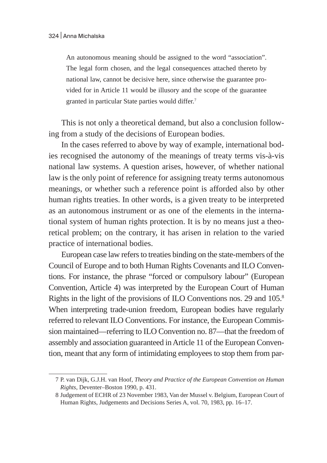An autonomous meaning should be assigned to the word "association". The legal form chosen, and the legal consequences attached thereto by national law, cannot be decisive here, since otherwise the guarantee provided for in Article 11 would be illusory and the scope of the guarantee granted in particular State parties would differ.<sup>7</sup>

This is not only a theoretical demand, but also a conclusion following from a study of the decisions of European bodies.

In the cases referred to above by way of example, international bodies recognised the autonomy of the meanings of treaty terms vis-à-vis national law systems. A question arises, however, of whether national law is the only point of reference for assigning treaty terms autonomous meanings, or whether such a reference point is afforded also by other human rights treaties. In other words, is a given treaty to be interpreted as an autonomous instrument or as one of the elements in the international system of human rights protection. It is by no means just a theoretical problem; on the contrary, it has arisen in relation to the varied practice of international bodies.

European case law refers to treaties binding on the state-members of the Council of Europe and to both Human Rights Covenants and ILO Conventions. For instance, the phrase "forced or compulsory labour" (European Convention, Article 4) was interpreted by the European Court of Human Rights in the light of the provisions of ILO Conventions nos. 29 and 105.<sup>8</sup> When interpreting trade-union freedom, European bodies have regularly referred to relevant ILO Conventions. For instance, the European Commission maintained—referring to ILO Convention no. 87—that the freedom of assembly and association guaranteed in Article 11 of the European Convention, meant that any form of intimidating employees to stop them from par-

<sup>7</sup> P. van Dijk, G.J.H. van Hoof, *Theory and Practice of the European Convention on Human Rights*, Deventer–Boston 1990, p. 431.

<sup>8</sup> Judgement of ECHR of 23 November 1983, Van der Mussel v. Belgium, European Court of Human Rights, Judgements and Decisions Series A, vol. 70, 1983, pp. 16–17.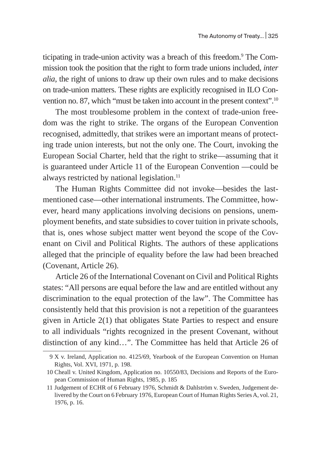ticipating in trade-union activity was a breach of this freedom.<sup>9</sup> The Commission took the position that the right to form trade unions included, *inter alia*, the right of unions to draw up their own rules and to make decisions on trade-union matters. These rights are explicitly recognised in ILO Convention no. 87, which "must be taken into account in the present context".10

The most troublesome problem in the context of trade-union freedom was the right to strike. The organs of the European Convention recognised, admittedly, that strikes were an important means of protecting trade union interests, but not the only one. The Court, invoking the European Social Charter, held that the right to strike—assuming that it is guaranteed under Article 11 of the European Convention —could be always restricted by national legislation.<sup>11</sup>

The Human Rights Committee did not invoke—besides the lastmentioned case—other international instruments. The Committee, however, heard many applications involving decisions on pensions, unemployment benefits, and state subsidies to cover tuition in private schools, that is, ones whose subject matter went beyond the scope of the Covenant on Civil and Political Rights. The authors of these applications alleged that the principle of equality before the law had been breached (Covenant, Article 26).

Article 26 of the International Covenant on Civil and Political Rights states: "All persons are equal before the law and are entitled without any discrimination to the equal protection of the law". The Committee has consistently held that this provision is not a repetition of the guarantees given in Article 2(1) that obligates State Parties to respect and ensure to all individuals "rights recognized in the present Covenant, without distinction of any kind…". The Committee has held that Article 26 of

<sup>9</sup> X v. Ireland, Application no. 4125/69, Yearbook of the European Convention on Human Rights, Vol. XVI, 1971, p. 198.

<sup>10</sup> Cheall v. United Kingdom, Application no. 10550/83, Decisions and Reports of the European Commission of Human Rights, 1985, p. 185

<sup>11</sup> Judgement of ECHR of 6 February 1976, Schmidt & Dahlström v. Sweden, Judgement delivered by the Court on 6 February 1976, European Court of Human Rights Series A, vol. 21, 1976, p. 16.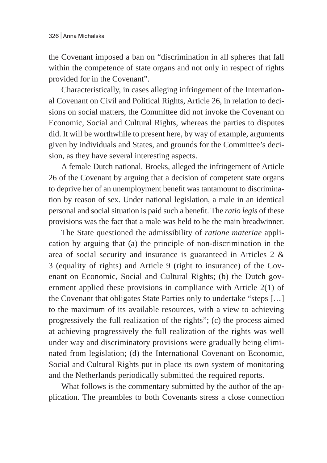the Covenant imposed a ban on "discrimination in all spheres that fall within the competence of state organs and not only in respect of rights provided for in the Covenant".

Characteristically, in cases alleging infringement of the International Covenant on Civil and Political Rights, Article 26, in relation to decisions on social matters, the Committee did not invoke the Covenant on Economic, Social and Cultural Rights, whereas the parties to disputes did. It will be worthwhile to present here, by way of example, arguments given by individuals and States, and grounds for the Committee's decision, as they have several interesting aspects.

A female Dutch national, Broeks, alleged the infringement of Article 26 of the Covenant by arguing that a decision of competent state organs to deprive her of an unemployment benefit was tantamount to discrimination by reason of sex. Under national legislation, a male in an identical personal and social situation is paid such a benefit. The *ratio legis* of these provisions was the fact that a male was held to be the main breadwinner.

The State questioned the admissibility of *ratione materiae* application by arguing that (a) the principle of non-discrimination in the area of social security and insurance is guaranteed in Articles 2 & 3 (equality of rights) and Article 9 (right to insurance) of the Covenant on Economic, Social and Cultural Rights; (b) the Dutch government applied these provisions in compliance with Article 2(1) of the Covenant that obligates State Parties only to undertake "steps […] to the maximum of its available resources, with a view to achieving progressively the full realization of the rights"; (c) the process aimed at achieving progressively the full realization of the rights was well under way and discriminatory provisions were gradually being eliminated from legislation; (d) the International Covenant on Economic, Social and Cultural Rights put in place its own system of monitoring and the Netherlands periodically submitted the required reports.

What follows is the commentary submitted by the author of the application. The preambles to both Covenants stress a close connection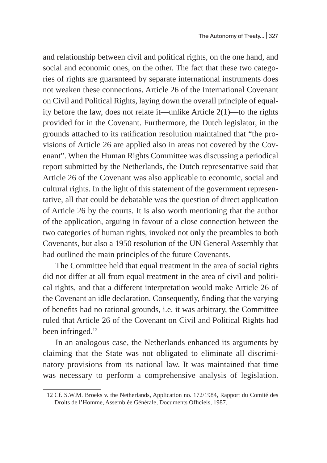and relationship between civil and political rights, on the one hand, and social and economic ones, on the other. The fact that these two categories of rights are guaranteed by separate international instruments does not weaken these connections. Article 26 of the International Covenant on Civil and Political Rights, laying down the overall principle of equality before the law, does not relate it—unlike Article 2(1)—to the rights provided for in the Covenant. Furthermore, the Dutch legislator, in the grounds attached to its ratification resolution maintained that "the provisions of Article 26 are applied also in areas not covered by the Covenant". When the Human Rights Committee was discussing a periodical report submitted by the Netherlands, the Dutch representative said that Article 26 of the Covenant was also applicable to economic, social and cultural rights. In the light of this statement of the government representative, all that could be debatable was the question of direct application of Article 26 by the courts. It is also worth mentioning that the author of the application, arguing in favour of a close connection between the two categories of human rights, invoked not only the preambles to both Covenants, but also a 1950 resolution of the UN General Assembly that had outlined the main principles of the future Covenants.

The Committee held that equal treatment in the area of social rights did not differ at all from equal treatment in the area of civil and political rights, and that a different interpretation would make Article 26 of the Covenant an idle declaration. Consequently, finding that the varying of benefits had no rational grounds, i.e. it was arbitrary, the Committee ruled that Article 26 of the Covenant on Civil and Political Rights had been infringed.<sup>12</sup>

In an analogous case, the Netherlands enhanced its arguments by claiming that the State was not obligated to eliminate all discriminatory provisions from its national law. It was maintained that time was necessary to perform a comprehensive analysis of legislation.

<sup>12</sup> Cf. S.W.M. Broeks v. the Netherlands, Application no. 172/1984, Rapport du Comité des Droits de l'Homme, Assemblée Générale, Documents Officiels, 1987.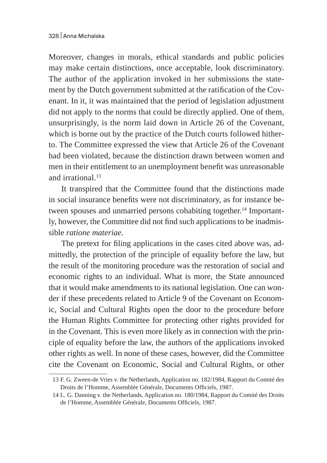Moreover, changes in morals, ethical standards and public policies may make certain distinctions, once acceptable, look discriminatory. The author of the application invoked in her submissions the statement by the Dutch government submitted at the ratification of the Covenant. In it, it was maintained that the period of legislation adjustment did not apply to the norms that could be directly applied. One of them, unsurprisingly, is the norm laid down in Article 26 of the Covenant, which is borne out by the practice of the Dutch courts followed hitherto. The Committee expressed the view that Article 26 of the Covenant had been violated, because the distinction drawn between women and men in their entitlement to an unemployment benefit was unreasonable and irrational.<sup>13</sup>

It transpired that the Committee found that the distinctions made in social insurance benefits were not discriminatory, as for instance between spouses and unmarried persons cohabiting together.<sup>14</sup> Importantly, however, the Committee did not find such applications to be inadmissible *ratione materiae*.

The pretext for filing applications in the cases cited above was, admittedly, the protection of the principle of equality before the law, but the result of the monitoring procedure was the restoration of social and economic rights to an individual. What is more, the State announced that it would make amendments to its national legislation. One can wonder if these precedents related to Article 9 of the Covenant on Economic, Social and Cultural Rights open the door to the procedure before the Human Rights Committee for protecting other rights provided for in the Covenant. This is even more likely as in connection with the principle of equality before the law, the authors of the applications invoked other rights as well. In none of these cases, however, did the Committee cite the Covenant on Economic, Social and Cultural Rights, or other

<sup>13</sup> F. G. Zween-de Vries v. the Netherlands, Application no. 182/1984, Rapport du Comité des Droits de l'Homme, Assemblée Générale, Documents Officiels, 1987.

<sup>14</sup> L. G. Danning v. the Netherlands, Application no. 180/1984, Rapport du Comité des Droits de l'Homme, Assemblée Générale, Documents Officiels, 1987.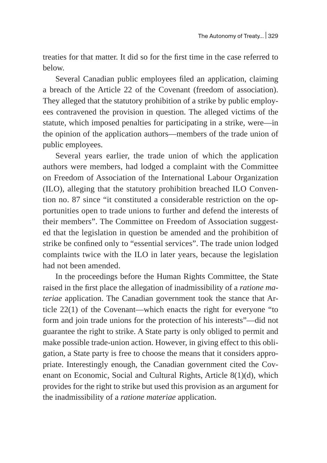treaties for that matter. It did so for the first time in the case referred to below.

Several Canadian public employees filed an application, claiming a breach of the Article 22 of the Covenant (freedom of association). They alleged that the statutory prohibition of a strike by public employees contravened the provision in question. The alleged victims of the statute, which imposed penalties for participating in a strike, were—in the opinion of the application authors—members of the trade union of public employees.

Several years earlier, the trade union of which the application authors were members, had lodged a complaint with the Committee on Freedom of Association of the International Labour Organization (ILO), alleging that the statutory prohibition breached ILO Convention no. 87 since "it constituted a considerable restriction on the opportunities open to trade unions to further and defend the interests of their members". The Committee on Freedom of Association suggested that the legislation in question be amended and the prohibition of strike be confined only to "essential services". The trade union lodged complaints twice with the ILO in later years, because the legislation had not been amended.

In the proceedings before the Human Rights Committee, the State raised in the first place the allegation of inadmissibility of a *ratione materiae* application. The Canadian government took the stance that Article 22(1) of the Covenant—which enacts the right for everyone "to form and join trade unions for the protection of his interests"—did not guarantee the right to strike. A State party is only obliged to permit and make possible trade-union action. However, in giving effect to this obligation, a State party is free to choose the means that it considers appropriate. Interestingly enough, the Canadian government cited the Covenant on Economic, Social and Cultural Rights, Article 8(1)(d), which provides for the right to strike but used this provision as an argument for the inadmissibility of a *ratione materiae* application.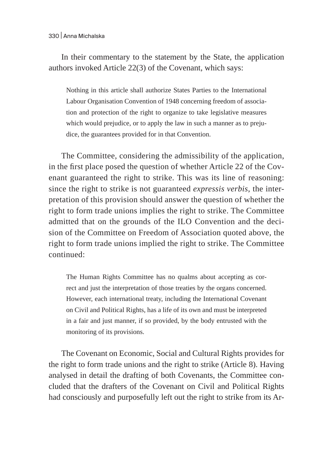In their commentary to the statement by the State, the application authors invoked Article 22(3) of the Covenant, which says:

Nothing in this article shall authorize States Parties to the International Labour Organisation Convention of 1948 concerning freedom of association and protection of the right to organize to take legislative measures which would prejudice, or to apply the law in such a manner as to prejudice, the guarantees provided for in that Convention.

The Committee, considering the admissibility of the application, in the first place posed the question of whether Article 22 of the Covenant guaranteed the right to strike. This was its line of reasoning: since the right to strike is not guaranteed *expressis verbis*, the interpretation of this provision should answer the question of whether the right to form trade unions implies the right to strike. The Committee admitted that on the grounds of the ILO Convention and the decision of the Committee on Freedom of Association quoted above, the right to form trade unions implied the right to strike. The Committee continued:

The Human Rights Committee has no qualms about accepting as correct and just the interpretation of those treaties by the organs concerned. However, each international treaty, including the International Covenant on Civil and Political Rights, has a life of its own and must be interpreted in a fair and just manner, if so provided, by the body entrusted with the monitoring of its provisions.

The Covenant on Economic, Social and Cultural Rights provides for the right to form trade unions and the right to strike (Article 8). Having analysed in detail the drafting of both Covenants, the Committee concluded that the drafters of the Covenant on Civil and Political Rights had consciously and purposefully left out the right to strike from its Ar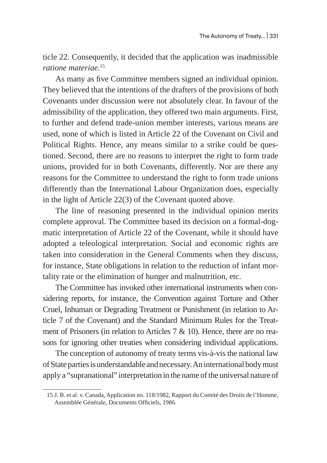ticle 22. Consequently, it decided that the application was inadmissible *ratione materiae*. 15

As many as five Committee members signed an individual opinion. They believed that the intentions of the drafters of the provisions of both Covenants under discussion were not absolutely clear. In favour of the admissibility of the application, they offered two main arguments. First, to further and defend trade-union member interests, various means are used, none of which is listed in Article 22 of the Covenant on Civil and Political Rights. Hence, any means similar to a strike could be questioned. Second, there are no reasons to interpret the right to form trade unions, provided for in both Covenants, differently. Nor are there any reasons for the Committee to understand the right to form trade unions differently than the International Labour Organization does, especially in the light of Article 22(3) of the Covenant quoted above.

The line of reasoning presented in the individual opinion merits complete approval. The Committee based its decision on a formal-dogmatic interpretation of Article 22 of the Covenant, while it should have adopted a teleological interpretation. Social and economic rights are taken into consideration in the General Comments when they discuss, for instance, State obligations in relation to the reduction of infant mortality rate or the elimination of hunger and malnutrition, etc.

The Committee has invoked other international instruments when considering reports, for instance, the Convention against Torture and Other Cruel, Inhuman or Degrading Treatment or Punishment (in relation to Article 7 of the Covenant) and the Standard Minimum Rules for the Treatment of Prisoners (in relation to Articles 7 & 10). Hence, there are no reasons for ignoring other treaties when considering individual applications.

The conception of autonomy of treaty terms vis-à-vis the national law of State parties is understandable and necessary. An international body must apply a "supranational" interpretation in the name of the universal nature of

<sup>15</sup> J. B. et al. v. Canada, Application no. 118/1982, Rapport du Comité des Droits de l'Homme, Assemblée Générale, Documents Officiels, 1986.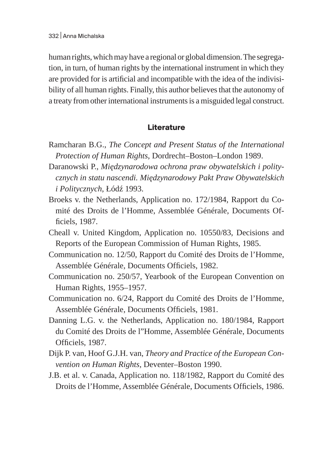human rights, which may have a regional or global dimension. The segregation, in turn, of human rights by the international instrument in which they are provided for is artificial and incompatible with the idea of the indivisibility of all human rights. Finally, this author believes that the autonomy of a treaty from other international instruments is a misguided legal construct.

## **Literature**

- Ramcharan B.G., *The Concept and Present Status of the International Protection of Human Rights*, Dordrecht–Boston–London 1989.
- Daranowski P., *Międzynarodowa ochrona praw obywatelskich i politycznych in statu nascendi. Międzynarodowy Pakt Praw Obywatelskich i Politycznych*, Łódź 1993.
- Broeks v. the Netherlands, Application no. 172/1984, Rapport du Comité des Droits de l'Homme, Assemblée Générale, Documents Officiels, 1987.
- Cheall v. United Kingdom, Application no. 10550/83, Decisions and Reports of the European Commission of Human Rights, 1985.
- Communication no. 12/50, Rapport du Comité des Droits de l'Homme, Assemblée Générale, Documents Officiels, 1982.
- Communication no. 250/57, Yearbook of the European Convention on Human Rights, 1955–1957.
- Communication no. 6/24, Rapport du Comité des Droits de l'Homme, Assemblée Générale, Documents Officiels, 1981.
- Danning L.G. v. the Netherlands, Application no. 180/1984, Rapport du Comité des Droits de l"Homme, Assemblée Générale, Documents Officiels, 1987.
- Dijk P. van, Hoof G.J.H. van, *Theory and Practice of the European Convention on Human Rights*, Deventer–Boston 1990.
- J.B. et al. v. Canada, Application no. 118/1982, Rapport du Comité des Droits de l'Homme, Assemblée Générale, Documents Officiels, 1986.